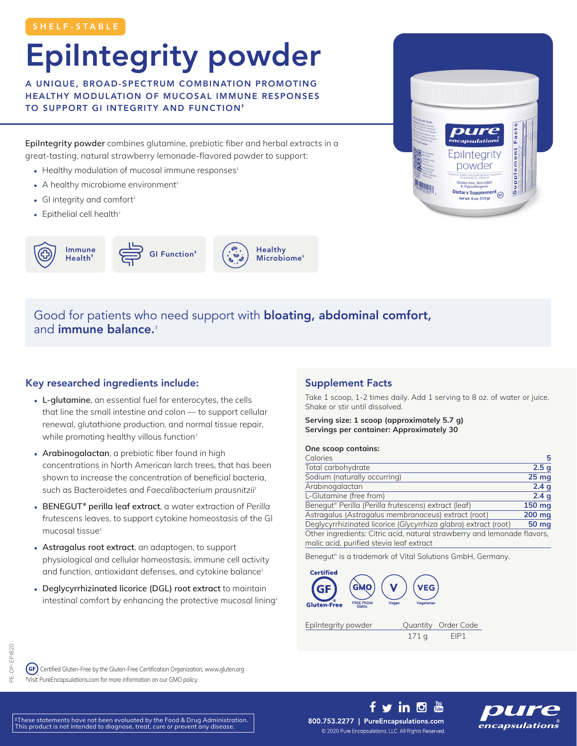## EpiIntegrity powder

A UNIQUE, BROAD-SPECTRUM COMBINATION PROMOTING HEALTHY MODULATION OF MUCOSAL IMMUNE RESPONSES TO SUPPORT GI INTEGRITY AND FUNCTION<sup>#</sup>

EpiIntegrity powder combines glutamine, prebiotic fiber and herbal extracts in a great-tasting, natural strawberry lemonade-flavored powder to support:

- Healthy modulation of mucosal immune responses<sup>#</sup>
- A healthy microbiome environment<sup>+</sup>
- GI integrity and comfort<sup>#</sup>
- Epithelial cell health<sup>#</sup>







Good for patients who need support with **bloating, abdominal comfort,** and immune balance.‡

## Key researched ingredients include:

- L-glutamine, an essential fuel for enterocytes, the cells that line the small intestine and colon — to support cellular renewal, glutathione production, and normal tissue repair, while promoting healthy villous function<sup>#</sup>
- Arabinogalactan, a prebiotic fiber found in high concentrations in North American larch trees, that has been shown to increase the concentration of beneficial bacteria, such as Bacteroidetes and *Faecalibacterium prausnitzii*‡
- BENEGUT<sup>®</sup> perilla leaf extract, a water extraction of Perilla *frutescens* leaves, to support cytokine homeostasis of the GI mucosal tissue‡
- Astragalus root extract, an adaptogen, to support physiological and cellular homeostasis, immune cell activity and function, antioxidant defenses, and cytokine balance<sup>#</sup>
- Deglycyrrhizinated licorice (DGL) root extract to maintain intestinal comfort by enhancing the protective mucosal lining<sup>+</sup>

## Supplement Facts

Take 1 scoop, 1-2 times daily. Add 1 serving to 8 oz. of water or juice. Shake or stir until dissolved.

Serving size: 1 scoop (approximately 5.7 g) Servings per container: Approximately 30

#### One scoop contains:

| Calories                                                                 | 5                |
|--------------------------------------------------------------------------|------------------|
| Total carbohydrate                                                       | 2.5 <sub>g</sub> |
| Sodium (naturally occurring)                                             | 25 <sub>mg</sub> |
| Arabinogalactan                                                          | 2.4 <sub>g</sub> |
| L-Glutamine (free from)                                                  | 2.4q             |
| Benegut® Perilla (Perilla frutescens) extract (leaf)                     | 150 mg           |
| Astragalus (Astragalus membranaceus) extract (root)                      | 200 mg           |
| Deglycyrrhizinated licorice (Glycyrrhiza glabra) extract (root)          | 50 mg            |
| Other ingredients: Citric acid, natural strawberry and lemonade flavors, |                  |
| malic acid, purified stevia leaf extract                                 |                  |

Benegut® is a trademark of Vital Solutions GmbH, Germany.

f y in <sup>n</sup> 圖



171 g EIP1

OP-EPI820 PE-OP-EPI820

 Certified Gluten-Free by the Gluten-Free Certification Organization, www.gluten.org †Visit PureEncapsulations.com for more information on our GMO policy.

‡These statements have not been evaluated by the Food & Drug Administration. This product is not intended to diagnose, treat, cure or prevent any disease.

800.753.2277 | PureEncapsulations.com © 2020 Pure Encapsulations, LLC. All Rights Reserved.



Facts

Supplement

**capsulations** 

Epilntegrity powder Gluten-free, Non-GMO Dietary Supplement . 6 oz. (171 g)